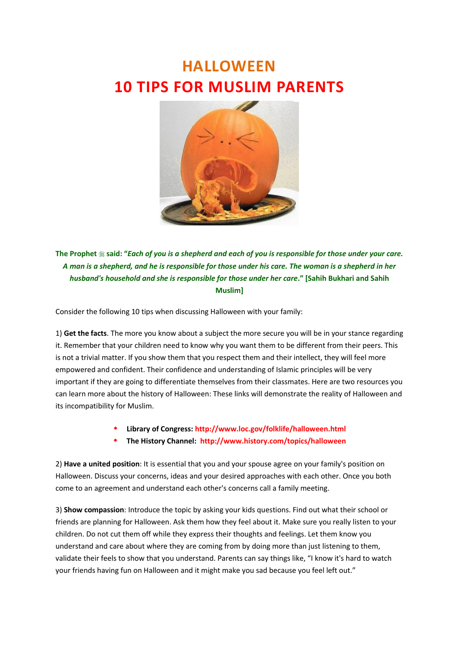## **HALLOWEEN 10 TIPS FOR MUSLIM PARENTS**



**The Prophet said: "***Each of you is a shepherd and each of you is responsible for those under your care. A man is a shepherd, and he is responsible for those under his care. The woman is a shepherd in her husband's household and she is responsible for those under her care."* [Sahih Bukhari and Sahih **Muslim]**

Consider the following 10 tips when discussing Halloween with your family:

1) **Get the facts**. The more you know about a subject the more secure you will be in your stance regarding it. Remember that your children need to know why you want them to be different from their peers. This is not a trivial matter. If you show them that you respect them and their intellect, they will feel more empowered and confident. Their confidence and understanding of Islamic principles will be very important if they are going to differentiate themselves from their classmates. Here are two resources you can learn more about the history of Halloween: These links will demonstrate the reality of Halloween and its incompatibility for Muslim.

- **Library of Congress: <http://www.loc.gov/folklife/halloween.html>**
- **The History Channel: <http://www.history.com/topics/halloween>**

2) **Have a united position**: It is essential that you and your spouse agree on your family's position on Halloween. Discuss your concerns, ideas and your desired approaches with each other. Once you both come to an agreement and understand each other's concerns call a family meeting.

3) **Show compassion**: Introduce the topic by asking your kids questions. Find out what their school or friends are planning for Halloween. Ask them how they feel about it. Make sure you really listen to your children. Do not cut them off while they express their thoughts and feelings. Let them know you understand and care about where they are coming from by doing more than just listening to them, validate their feels to show that you understand. Parents can say things like, "I know it's hard to watch your friends having fun on Halloween and it might make you sad because you feel left out."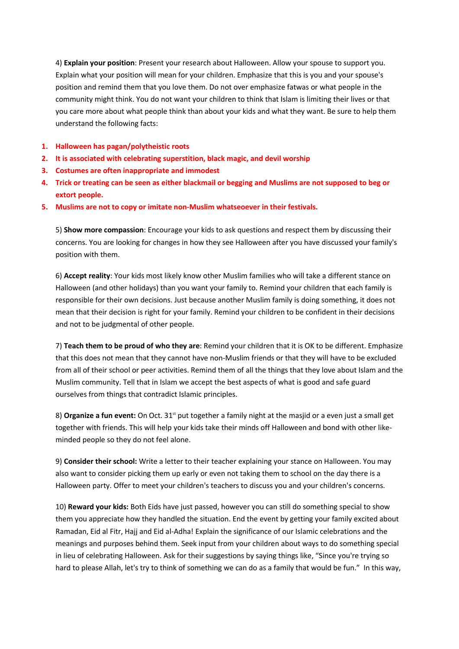4) **Explain your position**: Present your research about Halloween. Allow your spouse to support you. Explain what your position will mean for your children. Emphasize that this is you and your spouse's position and remind them that you love them. Do not over emphasize fatwas or what people in the community might think. You do not want your children to think that Islam is limiting their lives or that you care more about what people think than about your kids and what they want. Be sure to help them understand the following facts:

- **1. Halloween has pagan/polytheistic roots**
- **2. It is associated with celebrating superstition, black magic, and devil worship**
- **3. Costumes are often inappropriate and immodest**
- **4. Trick or treating can be seen as either blackmail or begging and Muslims are not supposed to beg or extort people.**
- **5. Muslims are not to copy or imitate non-Muslim whatseoever in their festivals.**

5) **Show more compassion**: Encourage your kids to ask questions and respect them by discussing their concerns. You are looking for changes in how they see Halloween after you have discussed your family's position with them.

6) **Accept reality**: Your kids most likely know other Muslim families who will take a different stance on Halloween (and other holidays) than you want your family to. Remind your children that each family is responsible for their own decisions. Just because another Muslim family is doing something, it does not mean that their decision is right for your family. Remind your children to be confident in their decisions and not to be judgmental of other people.

7) **Teach them to be proud of who they are**: Remind your children that it is OK to be different. Emphasize that this does not mean that they cannot have non-Muslim friends or that they will have to be excluded from all of their school or peer activities. Remind them of all the things that they love about Islam and the Muslim community. Tell that in Islam we accept the best aspects of what is good and safe guard ourselves from things that contradict Islamic principles.

8) **Organize a fun event:** On Oct. 31<sup>st</sup> put together a family night at the masjid or a even just a small get together with friends. This will help your kids take their minds off Halloween and bond with other likeminded people so they do not feel alone.

9) **Consider their school:** Write a letter to their teacher explaining your stance on Halloween. You may also want to consider picking them up early or even not taking them to school on the day there is a Halloween party. Offer to meet your children's teachers to discuss you and your children's concerns.

10) **Reward your kids:** Both Eids have just passed, however you can still do something special to show them you appreciate how they handled the situation. End the event by getting your family excited about Ramadan, Eid al Fitr, Hajj and Eid al-Adha! Explain the significance of our Islamic celebrations and the meanings and purposes behind them. Seek input from your children about ways to do something special in lieu of celebrating Halloween. Ask for their suggestions by saying things like, "Since you're trying so hard to please Allah, let's try to think of something we can do as a family that would be fun." In this way,